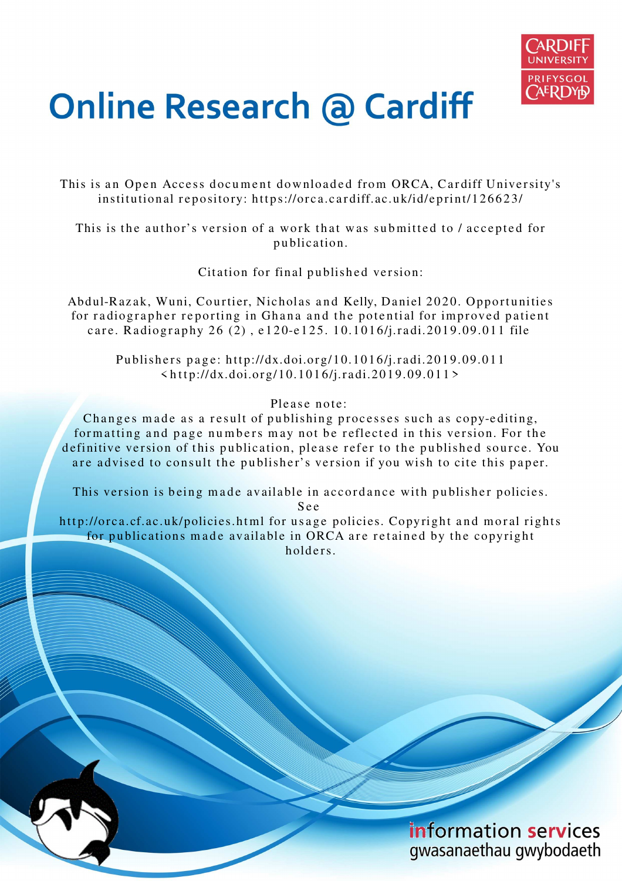

# **Online Research @ Cardiff**

This is an Open Access document downloaded from ORCA, Cardiff University's institutional repository: https://orca.cardiff.ac.uk/id/eprint/126623/

This is the author's version of a work that was submitted to / accepted for p u blication.

Citation for final published version:

Abdul-Razak, Wuni, Courtier, Nicholas and Kelly, Daniel 2020. Opportunities for radiographer reporting in Ghana and the potential for improved patient care. Radiography 26 (2), e120-e125. 10.1016/j.radi.2019.09.011 file

Publishers page: http://dx.doi.org/10.1016/j.radi.2019.09.011  $\langle \text{http://dx.doi.org/10.1016/j.radi.2019.09.011>}$ 

Please note:

Changes made as a result of publishing processes such as copy-editing, formatting and page numbers may not be reflected in this version. For the definitive version of this publication, please refer to the published source. You are advised to consult the publisher's version if you wish to cite this paper.

This version is being made available in accordance with publisher policies.

S e e

http://orca.cf.ac.uk/policies.html for usage policies. Copyright and moral rights for publications made available in ORCA are retained by the copyright holders.

> information services gwasanaethau gwybodaeth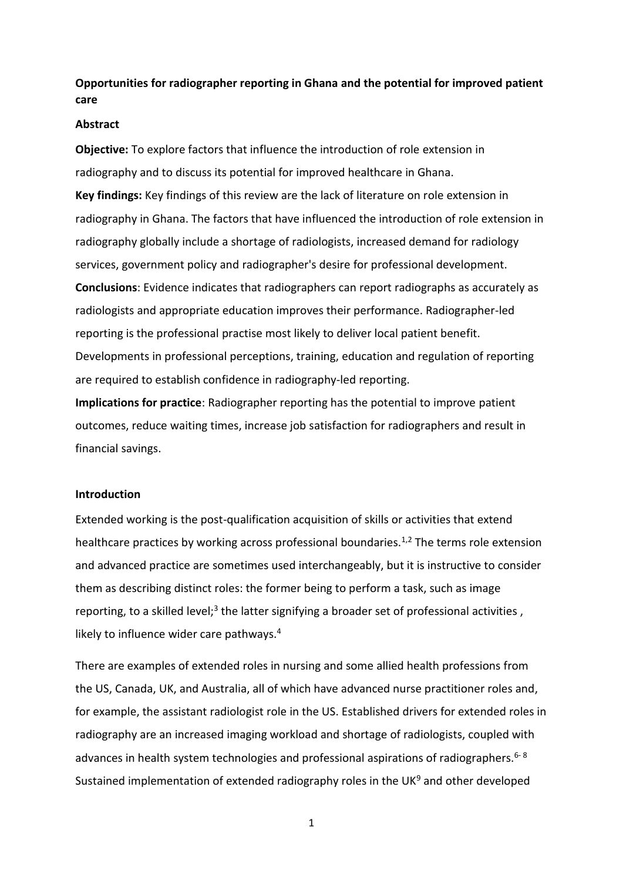**Opportunities for radiographer reporting in Ghana and the potential for improved patient care** 

#### **Abstract**

**Objective:** To explore factors that influence the introduction of role extension in radiography and to discuss its potential for improved healthcare in Ghana. **Key findings:** Key findings of this review are the lack of literature on role extension in radiography in Ghana. The factors that have influenced the introduction of role extension in radiography globally include a shortage of radiologists, increased demand for radiology services, government policy and radiographer's desire for professional development. **Conclusions**: Evidence indicates that radiographers can report radiographs as accurately as radiologists and appropriate education improves their performance. Radiographer-led reporting is the professional practise most likely to deliver local patient benefit. Developments in professional perceptions, training, education and regulation of reporting are required to establish confidence in radiography-led reporting.

**Implications for practice**: Radiographer reporting has the potential to improve patient outcomes, reduce waiting times, increase job satisfaction for radiographers and result in financial savings.

### **Introduction**

Extended working is the post-qualification acquisition of skills or activities that extend healthcare practices by working across professional boundaries.<sup>1,2</sup> The terms role extension and advanced practice are sometimes used interchangeably, but it is instructive to consider them as describing distinct roles: the former being to perform a task, such as image reporting, to a skilled level;<sup>3</sup> the latter signifying a broader set of professional activities, likely to influence wider care pathways.<sup>4</sup>

There are examples of extended roles in nursing and some allied health professions from the US, Canada, UK, and Australia, all of which have advanced nurse practitioner roles and, for example, the assistant radiologist role in the US. Established drivers for extended roles in radiography are an increased imaging workload and shortage of radiologists, coupled with advances in health system technologies and professional aspirations of radiographers.  $6-8$ Sustained implementation of extended radiography roles in the UK $9$  and other developed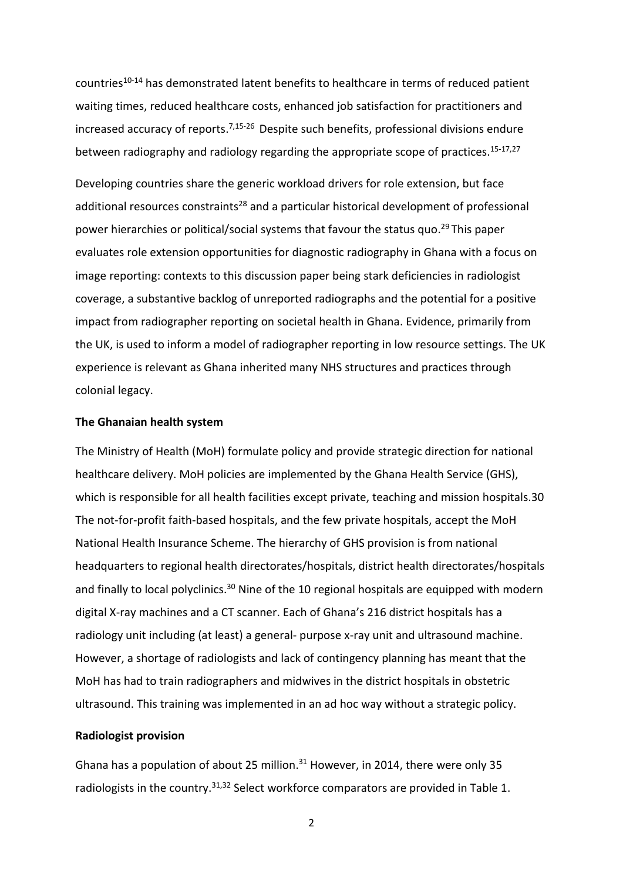countries10-14 has demonstrated latent benefits to healthcare in terms of reduced patient waiting times, reduced healthcare costs, enhanced job satisfaction for practitioners and increased accuracy of reports.<sup>7,15-26</sup> Despite such benefits, professional divisions endure between radiography and radiology regarding the appropriate scope of practices.<sup>15-17,27</sup>

Developing countries share the generic workload drivers for role extension, but face additional resources constraints<sup>28</sup> and a particular historical development of professional power hierarchies or political/social systems that favour the status quo.<sup>29</sup> This paper evaluates role extension opportunities for diagnostic radiography in Ghana with a focus on image reporting: contexts to this discussion paper being stark deficiencies in radiologist coverage, a substantive backlog of unreported radiographs and the potential for a positive impact from radiographer reporting on societal health in Ghana. Evidence, primarily from the UK, is used to inform a model of radiographer reporting in low resource settings. The UK experience is relevant as Ghana inherited many NHS structures and practices through colonial legacy.

#### **The Ghanaian health system**

The Ministry of Health (MoH) formulate policy and provide strategic direction for national healthcare delivery. MoH policies are implemented by the Ghana Health Service (GHS), which is responsible for all health facilities except private, teaching and mission hospitals.30 The not-for-profit faith-based hospitals, and the few private hospitals, accept the MoH National Health Insurance Scheme. The hierarchy of GHS provision is from national headquarters to regional health directorates/hospitals, district health directorates/hospitals and finally to local polyclinics.<sup>30</sup> Nine of the 10 regional hospitals are equipped with modern digital X-ray machines and a CT scanner. Each of Ghana's 216 district hospitals has a radiology unit including (at least) a general- purpose x-ray unit and ultrasound machine. However, a shortage of radiologists and lack of contingency planning has meant that the MoH has had to train radiographers and midwives in the district hospitals in obstetric ultrasound. This training was implemented in an ad hoc way without a strategic policy.

#### **Radiologist provision**

Ghana has a population of about 25 million. $31$  However, in 2014, there were only 35 radiologists in the country.<sup>31,32</sup> Select workforce comparators are provided in Table 1.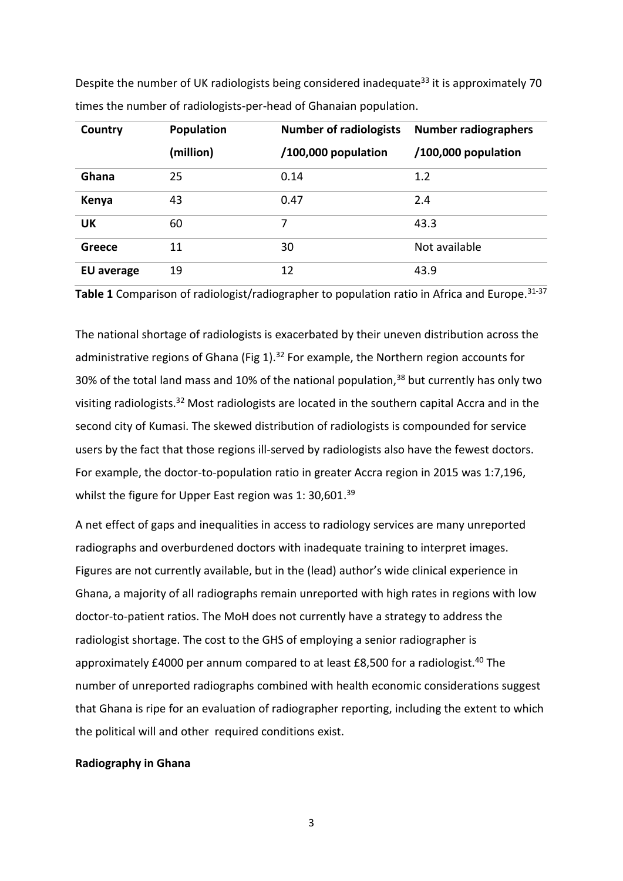| Country                                                           | Population | <b>Number of radiologists</b>                                                                          | <b>Number radiographers</b> |  |  |
|-------------------------------------------------------------------|------------|--------------------------------------------------------------------------------------------------------|-----------------------------|--|--|
| times the number of radiologists-per-head of Ghanaian population. |            |                                                                                                        |                             |  |  |
|                                                                   |            | Despite the number of UK radiologists being considered inadequate <sup>33</sup> it is approximately 70 |                             |  |  |

|                   | (million) | /100,000 population | /100,000 population |
|-------------------|-----------|---------------------|---------------------|
| Ghana             | 25        | 0.14                | 1.2                 |
| Kenya             | 43        | 0.47                | 2.4                 |
| <b>UK</b>         | 60        |                     | 43.3                |
| Greece            | 11        | 30                  | Not available       |
| <b>EU</b> average | 19        | 12                  | 43.9                |

Table 1 Comparison of radiologist/radiographer to population ratio in Africa and Europe.<sup>31-37</sup>

The national shortage of radiologists is exacerbated by their uneven distribution across the administrative regions of Ghana (Fig  $1$ ).<sup>32</sup> For example, the Northern region accounts for 30% of the total land mass and 10% of the national population,<sup>38</sup> but currently has only two visiting radiologists.<sup>32</sup> Most radiologists are located in the southern capital Accra and in the second city of Kumasi. The skewed distribution of radiologists is compounded for service users by the fact that those regions ill-served by radiologists also have the fewest doctors. For example, the doctor-to-population ratio in greater Accra region in 2015 was 1:7,196, whilst the figure for Upper East region was 1: 30,601. $39$ 

A net effect of gaps and inequalities in access to radiology services are many unreported radiographs and overburdened doctors with inadequate training to interpret images. Figures are not currently available, but in the (lead) author's wide clinical experience in Ghana, a majority of all radiographs remain unreported with high rates in regions with low doctor-to-patient ratios. The MoH does not currently have a strategy to address the radiologist shortage. The cost to the GHS of employing a senior radiographer is approximately £4000 per annum compared to at least £8,500 for a radiologist.<sup>40</sup> The number of unreported radiographs combined with health economic considerations suggest that Ghana is ripe for an evaluation of radiographer reporting, including the extent to which the political will and other required conditions exist.

# **Radiography in Ghana**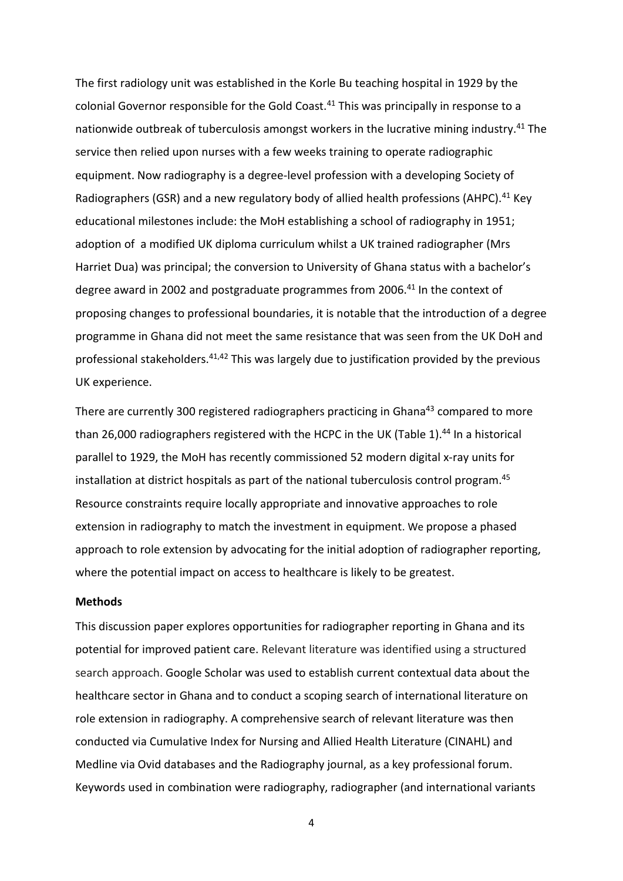The first radiology unit was established in the Korle Bu teaching hospital in 1929 by the colonial Governor responsible for the Gold Coast.<sup>41</sup> This was principally in response to a nationwide outbreak of tuberculosis amongst workers in the lucrative mining industry.<sup>41</sup> The service then relied upon nurses with a few weeks training to operate radiographic equipment. Now radiography is a degree-level profession with a developing Society of Radiographers (GSR) and a new regulatory body of allied health professions (AHPC).<sup>41</sup> Key educational milestones include: the MoH establishing a school of radiography in 1951; adoption of a modified UK diploma curriculum whilst a UK trained radiographer (Mrs Harriet Dua) was principal; the conversion to University of Ghana status with a bachelor's degree award in 2002 and postgraduate programmes from 2006.<sup>41</sup> In the context of proposing changes to professional boundaries, it is notable that the introduction of a degree programme in Ghana did not meet the same resistance that was seen from the UK DoH and professional stakeholders.<sup>41,42</sup> This was largely due to justification provided by the previous UK experience.

There are currently 300 registered radiographers practicing in Ghana<sup>43</sup> compared to more than 26,000 radiographers registered with the HCPC in the UK (Table 1).<sup>44</sup> In a historical parallel to 1929, the MoH has recently commissioned 52 modern digital x-ray units for installation at district hospitals as part of the national tuberculosis control program.<sup>45</sup> Resource constraints require locally appropriate and innovative approaches to role extension in radiography to match the investment in equipment. We propose a phased approach to role extension by advocating for the initial adoption of radiographer reporting, where the potential impact on access to healthcare is likely to be greatest.

#### **Methods**

This discussion paper explores opportunities for radiographer reporting in Ghana and its potential for improved patient care. Relevant literature was identified using a structured search approach. Google Scholar was used to establish current contextual data about the healthcare sector in Ghana and to conduct a scoping search of international literature on role extension in radiography. A comprehensive search of relevant literature was then conducted via Cumulative Index for Nursing and Allied Health Literature (CINAHL) and Medline via Ovid databases and the Radiography journal, as a key professional forum. Keywords used in combination were radiography, radiographer (and international variants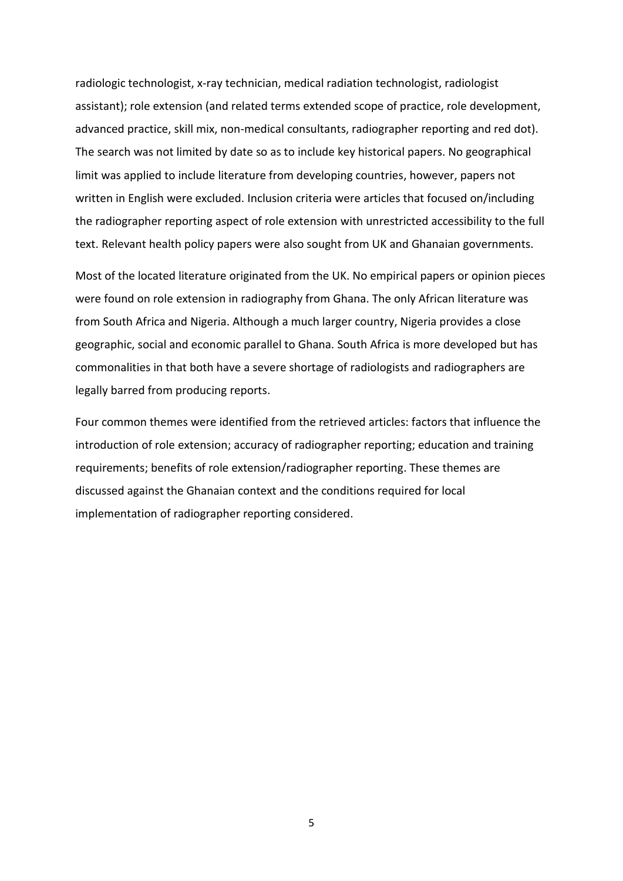radiologic technologist, x-ray technician, medical radiation technologist, radiologist assistant); role extension (and related terms extended scope of practice, role development, advanced practice, skill mix, non-medical consultants, radiographer reporting and red dot). The search was not limited by date so as to include key historical papers. No geographical limit was applied to include literature from developing countries, however, papers not written in English were excluded. Inclusion criteria were articles that focused on/including the radiographer reporting aspect of role extension with unrestricted accessibility to the full text. Relevant health policy papers were also sought from UK and Ghanaian governments.

Most of the located literature originated from the UK. No empirical papers or opinion pieces were found on role extension in radiography from Ghana. The only African literature was from South Africa and Nigeria. Although a much larger country, Nigeria provides a close geographic, social and economic parallel to Ghana. South Africa is more developed but has commonalities in that both have a severe shortage of radiologists and radiographers are legally barred from producing reports.

Four common themes were identified from the retrieved articles: factors that influence the introduction of role extension; accuracy of radiographer reporting; education and training requirements; benefits of role extension/radiographer reporting. These themes are discussed against the Ghanaian context and the conditions required for local implementation of radiographer reporting considered.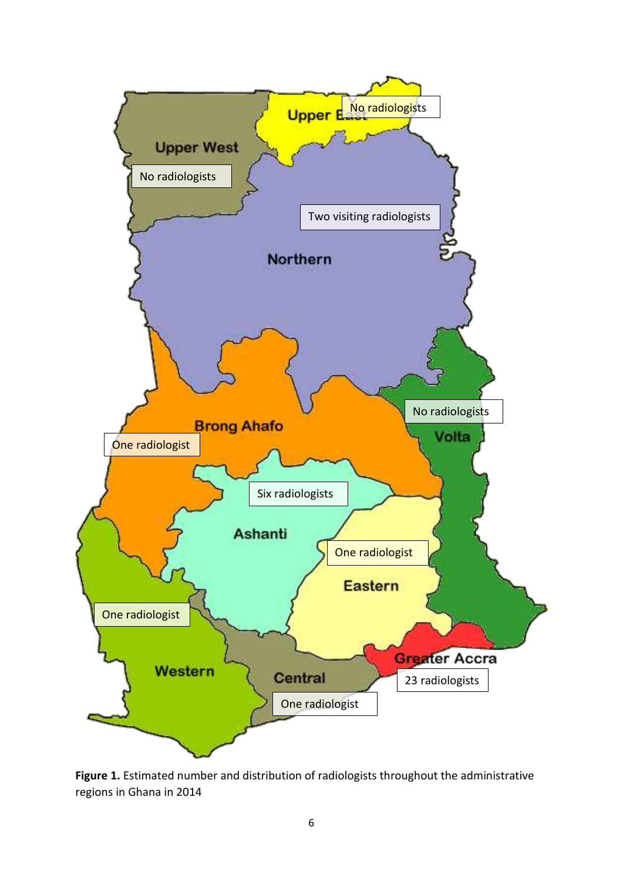

**Figure 1.** Estimated number and distribution of radiologists throughout the administrative regions in Ghana in 2014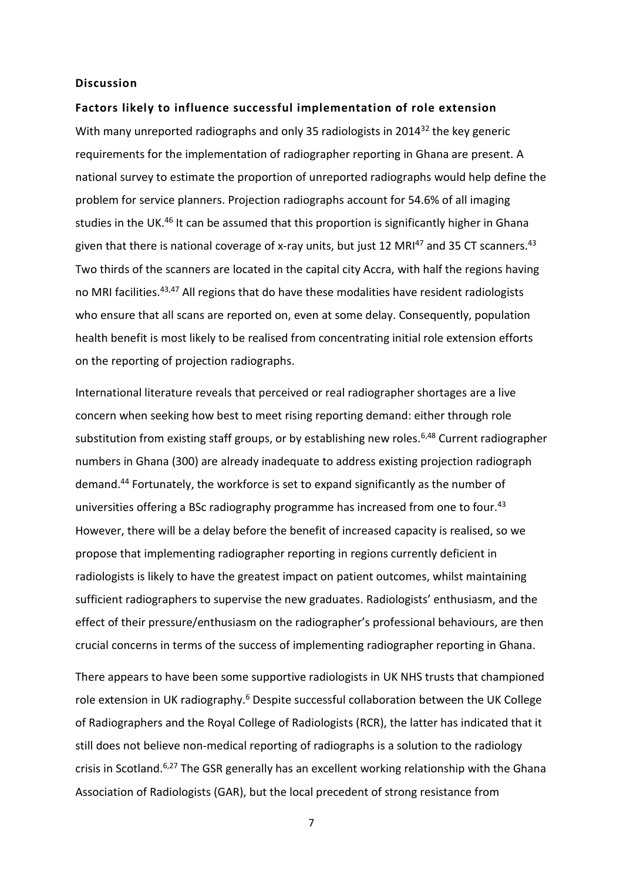#### **Discussion**

#### **Factors likely to influence successful implementation of role extension**

With many unreported radiographs and only 35 radiologists in 2014<sup>32</sup> the key generic requirements for the implementation of radiographer reporting in Ghana are present. A national survey to estimate the proportion of unreported radiographs would help define the problem for service planners. Projection radiographs account for 54.6% of all imaging studies in the UK.<sup>46</sup> It can be assumed that this proportion is significantly higher in Ghana given that there is national coverage of x-ray units, but just 12 MRI<sup>47</sup> and 35 CT scanners.<sup>43</sup> Two thirds of the scanners are located in the capital city Accra, with half the regions having no MRI facilities.<sup>43,47</sup> All regions that do have these modalities have resident radiologists who ensure that all scans are reported on, even at some delay. Consequently, population health benefit is most likely to be realised from concentrating initial role extension efforts on the reporting of projection radiographs.

International literature reveals that perceived or real radiographer shortages are a live concern when seeking how best to meet rising reporting demand: either through role substitution from existing staff groups, or by establishing new roles.<sup>6,48</sup> Current radiographer numbers in Ghana (300) are already inadequate to address existing projection radiograph demand.<sup>44</sup> Fortunately, the workforce is set to expand significantly as the number of universities offering a BSc radiography programme has increased from one to four.<sup>43</sup> However, there will be a delay before the benefit of increased capacity is realised, so we propose that implementing radiographer reporting in regions currently deficient in radiologists is likely to have the greatest impact on patient outcomes, whilst maintaining sufficient radiographers to supervise the new graduates. Radiologists' enthusiasm, and the effect of their pressure/enthusiasm on the radiographer's professional behaviours, are then crucial concerns in terms of the success of implementing radiographer reporting in Ghana.

There appears to have been some supportive radiologists in UK NHS trusts that championed role extension in UK radiography.<sup>6</sup> Despite successful collaboration between the UK College of Radiographers and the Royal College of Radiologists (RCR), the latter has indicated that it still does not believe non-medical reporting of radiographs is a solution to the radiology crisis in Scotland.<sup>6,27</sup> The GSR generally has an excellent working relationship with the Ghana Association of Radiologists (GAR), but the local precedent of strong resistance from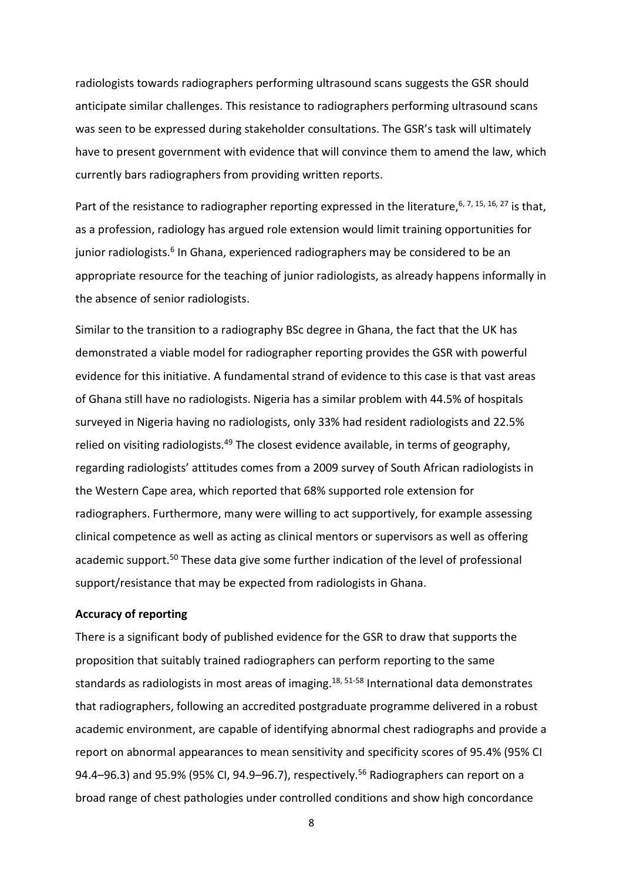radiologists towards radiographers performing ultrasound scans suggests the GSR should anticipate similar challenges. This resistance to radiographers performing ultrasound scans was seen to be expressed during stakeholder consultations. The GSR's task will ultimately have to present government with evidence that will convince them to amend the law, which currently bars radiographers from providing written reports.

Part of the resistance to radiographer reporting expressed in the literature,  $6, 7, 15, 16, 27$  is that, as a profession, radiology has argued role extension would limit training opportunities for junior radiologists.<sup>6</sup> In Ghana, experienced radiographers may be considered to be an appropriate resource for the teaching of junior radiologists, as already happens informally in the absence of senior radiologists.

Similar to the transition to a radiography BSc degree in Ghana, the fact that the UK has demonstrated a viable model for radiographer reporting provides the GSR with powerful evidence for this initiative. A fundamental strand of evidence to this case is that vast areas of Ghana still have no radiologists. Nigeria has a similar problem with 44.5% of hospitals surveyed in Nigeria having no radiologists, only 33% had resident radiologists and 22.5% relied on visiting radiologists.<sup>49</sup> The closest evidence available, in terms of geography, regarding radiologists' attitudes comes from a 2009 survey of South African radiologists in the Western Cape area, which reported that 68% supported role extension for radiographers. Furthermore, many were willing to act supportively, for example assessing clinical competence as well as acting as clinical mentors or supervisors as well as offering academic support.<sup>50</sup> These data give some further indication of the level of professional support/resistance that may be expected from radiologists in Ghana.

#### **Accuracy of reporting**

There is a significant body of published evidence for the GSR to draw that supports the proposition that suitably trained radiographers can perform reporting to the same standards as radiologists in most areas of imaging.<sup>18, 51-58</sup> International data demonstrates that radiographers, following an accredited postgraduate programme delivered in a robust academic environment, are capable of identifying abnormal chest radiographs and provide a report on abnormal appearances to mean sensitivity and specificity scores of 95.4% (95% CI 94.4–96.3) and 95.9% (95% CI, 94.9–96.7), respectively.<sup>56</sup> Radiographers can report on a broad range of chest pathologies under controlled conditions and show high concordance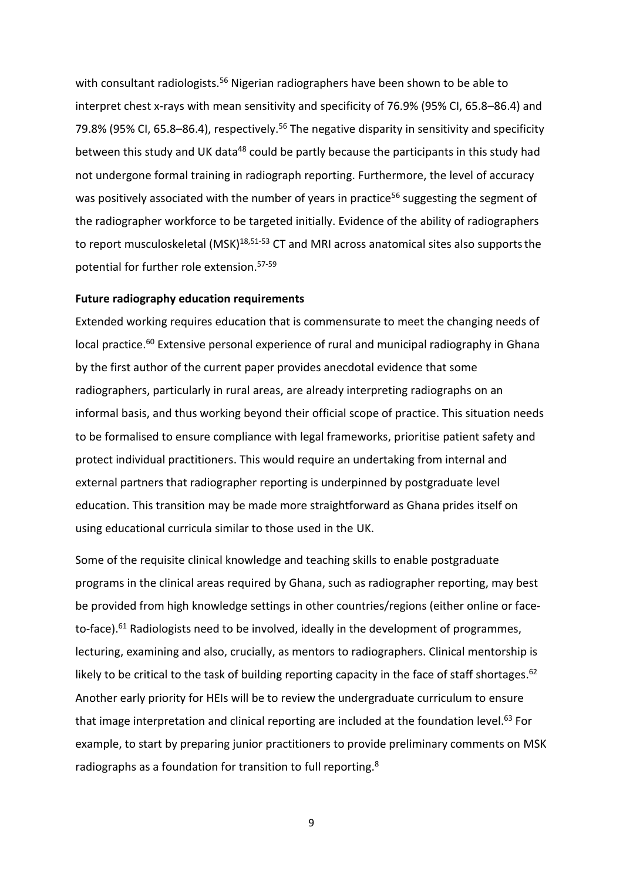with consultant radiologists.<sup>56</sup> Nigerian radiographers have been shown to be able to interpret chest x-rays with mean sensitivity and specificity of 76.9% (95% CI, 65.8–86.4) and 79.8% (95% CI, 65.8–86.4), respectively.<sup>56</sup> The negative disparity in sensitivity and specificity between this study and UK data<sup>48</sup> could be partly because the participants in this study had not undergone formal training in radiograph reporting. Furthermore, the level of accuracy was positively associated with the number of years in practice<sup>56</sup> suggesting the segment of the radiographer workforce to be targeted initially. Evidence of the ability of radiographers to report musculoskeletal  $(MSK)^{18,51-53}$  CT and MRI across anatomical sites also supports the potential for further role extension.57-59

#### **Future radiography education requirements**

Extended working requires education that is commensurate to meet the changing needs of local practice.<sup>60</sup> Extensive personal experience of rural and municipal radiography in Ghana by the first author of the current paper provides anecdotal evidence that some radiographers, particularly in rural areas, are already interpreting radiographs on an informal basis, and thus working beyond their official scope of practice. This situation needs to be formalised to ensure compliance with legal frameworks, prioritise patient safety and protect individual practitioners. This would require an undertaking from internal and external partners that radiographer reporting is underpinned by postgraduate level education. This transition may be made more straightforward as Ghana prides itself on using educational curricula similar to those used in the UK.

Some of the requisite clinical knowledge and teaching skills to enable postgraduate programs in the clinical areas required by Ghana, such as radiographer reporting, may best be provided from high knowledge settings in other countries/regions (either online or faceto-face). $61$  Radiologists need to be involved, ideally in the development of programmes, lecturing, examining and also, crucially, as mentors to radiographers. Clinical mentorship is likely to be critical to the task of building reporting capacity in the face of staff shortages.<sup>62</sup> Another early priority for HEIs will be to review the undergraduate curriculum to ensure that image interpretation and clinical reporting are included at the foundation level.<sup>63</sup> For example, to start by preparing junior practitioners to provide preliminary comments on MSK radiographs as a foundation for transition to full reporting.<sup>8</sup>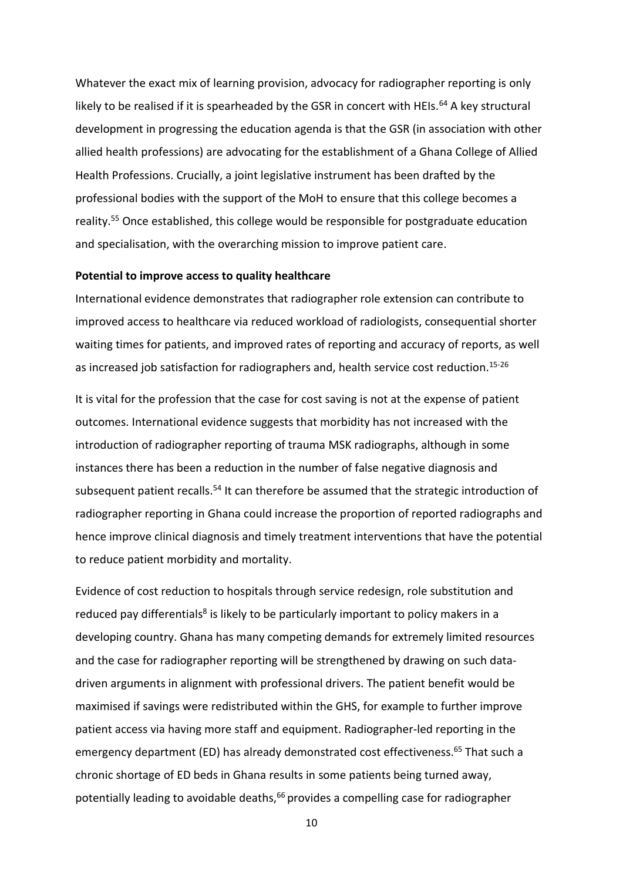Whatever the exact mix of learning provision, advocacy for radiographer reporting is only likely to be realised if it is spearheaded by the GSR in concert with HEIs.<sup>64</sup> A key structural development in progressing the education agenda is that the GSR (in association with other allied health professions) are advocating for the establishment of a Ghana College of Allied Health Professions. Crucially, a joint legislative instrument has been drafted by the professional bodies with the support of the MoH to ensure that this college becomes a reality.<sup>55</sup> Once established, this college would be responsible for postgraduate education and specialisation, with the overarching mission to improve patient care.

#### **Potential to improve access to quality healthcare**

International evidence demonstrates that radiographer role extension can contribute to improved access to healthcare via reduced workload of radiologists, consequential shorter waiting times for patients, and improved rates of reporting and accuracy of reports, as well as increased job satisfaction for radiographers and, health service cost reduction.<sup>15-26</sup>

It is vital for the profession that the case for cost saving is not at the expense of patient outcomes. International evidence suggests that morbidity has not increased with the introduction of radiographer reporting of trauma MSK radiographs, although in some instances there has been a reduction in the number of false negative diagnosis and subsequent patient recalls.<sup>54</sup> It can therefore be assumed that the strategic introduction of radiographer reporting in Ghana could increase the proportion of reported radiographs and hence improve clinical diagnosis and timely treatment interventions that have the potential to reduce patient morbidity and mortality.

Evidence of cost reduction to hospitals through service redesign, role substitution and reduced pay differentials<sup>8</sup> is likely to be particularly important to policy makers in a developing country. Ghana has many competing demands for extremely limited resources and the case for radiographer reporting will be strengthened by drawing on such datadriven arguments in alignment with professional drivers. The patient benefit would be maximised if savings were redistributed within the GHS, for example to further improve patient access via having more staff and equipment. Radiographer-led reporting in the emergency department (ED) has already demonstrated cost effectiveness.<sup>65</sup> That such a chronic shortage of ED beds in Ghana results in some patients being turned away, potentially leading to avoidable deaths,<sup>66</sup> provides a compelling case for radiographer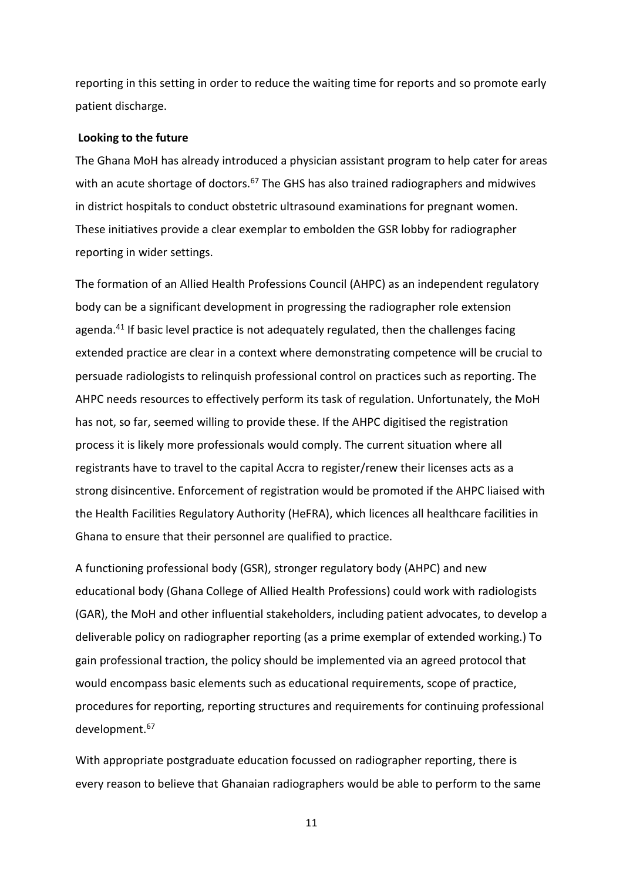reporting in this setting in order to reduce the waiting time for reports and so promote early patient discharge.

#### **Looking to the future**

The Ghana MoH has already introduced a physician assistant program to help cater for areas with an acute shortage of doctors.<sup>67</sup> The GHS has also trained radiographers and midwives in district hospitals to conduct obstetric ultrasound examinations for pregnant women. These initiatives provide a clear exemplar to embolden the GSR lobby for radiographer reporting in wider settings.

The formation of an Allied Health Professions Council (AHPC) as an independent regulatory body can be a significant development in progressing the radiographer role extension agenda.<sup>41</sup> If basic level practice is not adequately regulated, then the challenges facing extended practice are clear in a context where demonstrating competence will be crucial to persuade radiologists to relinquish professional control on practices such as reporting. The AHPC needs resources to effectively perform its task of regulation. Unfortunately, the MoH has not, so far, seemed willing to provide these. If the AHPC digitised the registration process it is likely more professionals would comply. The current situation where all registrants have to travel to the capital Accra to register/renew their licenses acts as a strong disincentive. Enforcement of registration would be promoted if the AHPC liaised with the Health Facilities Regulatory Authority (HeFRA), which licences all healthcare facilities in Ghana to ensure that their personnel are qualified to practice.

A functioning professional body (GSR), stronger regulatory body (AHPC) and new educational body (Ghana College of Allied Health Professions) could work with radiologists (GAR), the MoH and other influential stakeholders, including patient advocates, to develop a deliverable policy on radiographer reporting (as a prime exemplar of extended working.) To gain professional traction, the policy should be implemented via an agreed protocol that would encompass basic elements such as educational requirements, scope of practice, procedures for reporting, reporting structures and requirements for continuing professional development.<sup>67</sup>

With appropriate postgraduate education focussed on radiographer reporting, there is every reason to believe that Ghanaian radiographers would be able to perform to the same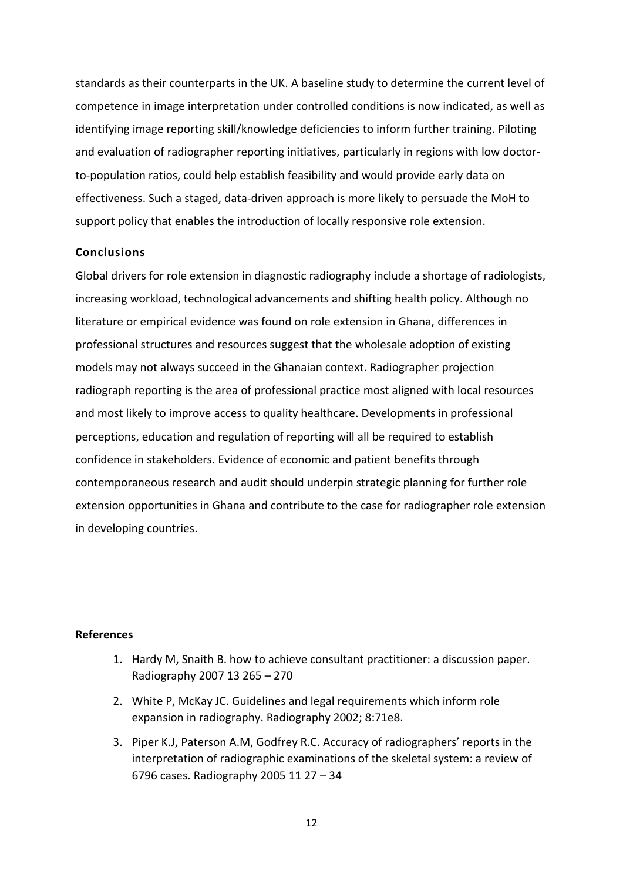standards as their counterparts in the UK. A baseline study to determine the current level of competence in image interpretation under controlled conditions is now indicated, as well as identifying image reporting skill/knowledge deficiencies to inform further training. Piloting and evaluation of radiographer reporting initiatives, particularly in regions with low doctorto-population ratios, could help establish feasibility and would provide early data on effectiveness. Such a staged, data-driven approach is more likely to persuade the MoH to support policy that enables the introduction of locally responsive role extension.

# **Conclusions**

Global drivers for role extension in diagnostic radiography include a shortage of radiologists, increasing workload, technological advancements and shifting health policy. Although no literature or empirical evidence was found on role extension in Ghana, differences in professional structures and resources suggest that the wholesale adoption of existing models may not always succeed in the Ghanaian context. Radiographer projection radiograph reporting is the area of professional practice most aligned with local resources and most likely to improve access to quality healthcare. Developments in professional perceptions, education and regulation of reporting will all be required to establish confidence in stakeholders. Evidence of economic and patient benefits through contemporaneous research and audit should underpin strategic planning for further role extension opportunities in Ghana and contribute to the case for radiographer role extension in developing countries.

# **References**

- 1. Hardy M, Snaith B. how to achieve consultant practitioner: a discussion paper. Radiography 2007 13 265 – 270
- 2. White P, McKay JC. Guidelines and legal requirements which inform role expansion in radiography. Radiography 2002; 8:71e8.
- 3. Piper K.J, Paterson A.M, Godfrey R.C. Accuracy of radiographers' reports in the interpretation of radiographic examinations of the skeletal system: a review of 6796 cases. Radiography 2005 11 27 – 34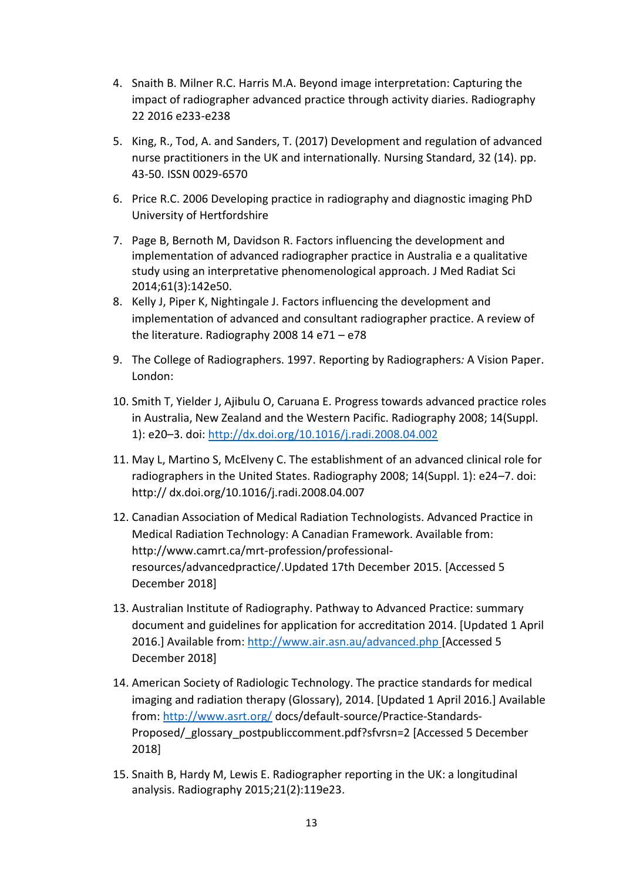- 4. Snaith B. Milner R.C. Harris M.A. Beyond image interpretation: Capturing the impact of radiographer advanced practice through activity diaries. Radiography 22 2016 e233-e238
- 5. King, R., Tod, A. and Sanders, T. (2017) Development and regulation of advanced nurse practitioners in the UK and internationally*.* Nursing Standard, 32 (14). pp. 43-50. ISSN 0029-6570
- 6. Price R.C. 2006 Developing practice in radiography and diagnostic imaging PhD University of Hertfordshire
- 7. Page B, Bernoth M, Davidson R. Factors influencing the development and implementation of advanced radiographer practice in Australia e a qualitative study using an interpretative phenomenological approach. J Med Radiat Sci 2014;61(3):142e50.
- 8. Kelly J, Piper K, Nightingale J. Factors influencing the development and implementation of advanced and consultant radiographer practice. A review of the literature. Radiography 2008 14 e71 – e78
- 9. The College of Radiographers. 1997. Reporting by Radiographers*:* A Vision Paper. London:
- 10. Smith T, Yielder J, Ajibulu O, Caruana E. Progress towards advanced practice roles in Australia, New Zealand and the Western Pacific. Radiography 2008; 14(Suppl. 1): e20–3. doi:<http://dx.doi.org/10.1016/j.radi.2008.04.002>
- 11. May L, Martino S, McElveny C. The establishment of an advanced clinical role for radiographers in the United States. Radiography 2008; 14(Suppl. 1): e24–7. doi: http:// dx.doi.org/10.1016/j.radi.2008.04.007
- 12. Canadian Association of Medical Radiation Technologists. Advanced Practice in Medical Radiation Technology: A Canadian Framework. Available from: http://www.camrt.ca/mrt-profession/professionalresources/advancedpractice/.Updated 17th December 2015. [Accessed 5 December 2018]
- 13. Australian Institute of Radiography. Pathway to Advanced Practice: summary document and guidelines for application for accreditation 2014. [Updated 1 April 2016.] Available from:<http://www.air.asn.au/advanced.php>[Accessed 5 December 2018]
- 14. American Society of Radiologic Technology. The practice standards for medical imaging and radiation therapy (Glossary), 2014. [Updated 1 April 2016.] Available from[: http://www.asrt.org/](http://www.asrt.org/) docs/default-source/Practice-Standards-Proposed/\_glossary\_postpubliccomment.pdf?sfvrsn=2 [Accessed 5 December 2018]
- 15. Snaith B, Hardy M, Lewis E. Radiographer reporting in the UK: a longitudinal analysis. Radiography 2015;21(2):119e23.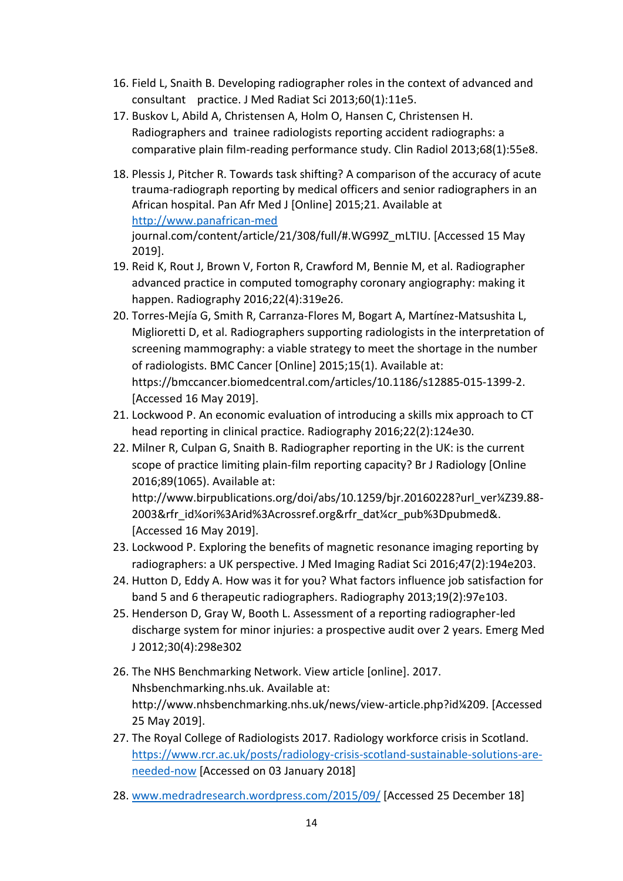- 16. Field L, Snaith B. Developing radiographer roles in the context of advanced and consultant practice. J Med Radiat Sci 2013;60(1):11e5.
- 17. Buskov L, Abild A, Christensen A, Holm O, Hansen C, Christensen H. Radiographers and trainee radiologists reporting accident radiographs: a comparative plain film-reading performance study. Clin Radiol 2013;68(1):55e8.
- 18. Plessis J, Pitcher R. Towards task shifting? A comparison of the accuracy of acute trauma-radiograph reporting by medical officers and senior radiographers in an African hospital. Pan Afr Med J [Online] 2015;21. Available at [http://www.panafrican-med](http://www.panafrican-med/) journal.com/content/article/21/308/full/#.WG99Z\_mLTIU. [Accessed 15 May 2019].
- 19. Reid K, Rout J, Brown V, Forton R, Crawford M, Bennie M, et al. Radiographer advanced practice in computed tomography coronary angiography: making it happen. Radiography 2016;22(4):319e26.
- 20. Torres-Mejía G, Smith R, Carranza-Flores M, Bogart A, Martínez-Matsushita L, Miglioretti D, et al. Radiographers supporting radiologists in the interpretation of screening mammography: a viable strategy to meet the shortage in the number of radiologists. BMC Cancer [Online] 2015;15(1). Available at: https://bmccancer.biomedcentral.com/articles/10.1186/s12885-015-1399-2. [Accessed 16 May 2019].
- 21. Lockwood P. An economic evaluation of introducing a skills mix approach to CT head reporting in clinical practice. Radiography 2016;22(2):124e30.
- 22. Milner R, Culpan G, Snaith B. Radiographer reporting in the UK: is the current scope of practice limiting plain-film reporting capacity? Br J Radiology [Online 2016;89(1065). Available at: http://www.birpublications.org/doi/abs/10.1259/bjr.20160228?url\_ver¼Z39.88- 2003&rfr\_id¼ori%3Arid%3Acrossref.org&rfr\_dat¼cr\_pub%3Dpubmed&. [Accessed 16 May 2019].
- 23. Lockwood P. Exploring the benefits of magnetic resonance imaging reporting by radiographers: a UK perspective. J Med Imaging Radiat Sci 2016;47(2):194e203.
- 24. Hutton D, Eddy A. How was it for you? What factors influence job satisfaction for band 5 and 6 therapeutic radiographers. Radiography 2013;19(2):97e103.
- 25. Henderson D, Gray W, Booth L. Assessment of a reporting radiographer-led discharge system for minor injuries: a prospective audit over 2 years. Emerg Med J 2012;30(4):298e302
- 26. The NHS Benchmarking Network. View article [online]. 2017. Nhsbenchmarking.nhs.uk. Available at: http://www.nhsbenchmarking.nhs.uk/news/view-article.php?id¼209. [Accessed 25 May 2019].
- 27. The Royal College of Radiologists 2017. Radiology workforce crisis in Scotland. [https://www.rcr.ac.uk/posts/radiology-crisis-scotland-sustainable-solutions-are](https://www.rcr.ac.uk/posts/radiology-crisis-scotland-sustainable-solutions-are-needed-now)[needed-now](https://www.rcr.ac.uk/posts/radiology-crisis-scotland-sustainable-solutions-are-needed-now) [Accessed on 03 January 2018]
- 28. [www.medradresearch.wordpress.com/2015/09/](http://www.medradresearch.wordpress.com/2015/09/) [Accessed 25 December 18]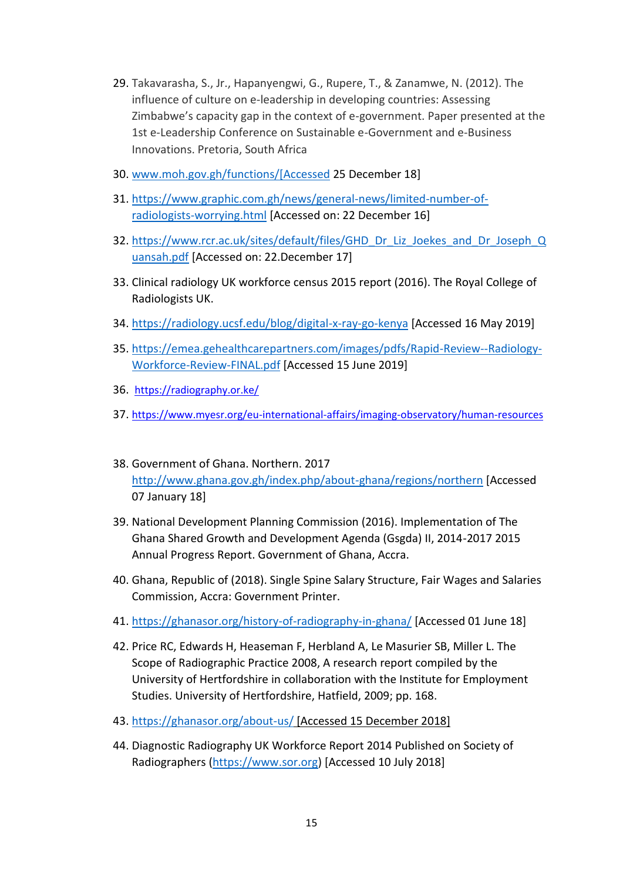- 29. Takavarasha, S., Jr., Hapanyengwi, G., Rupere, T., & Zanamwe, N. (2012). The influence of culture on e-leadership in developing countries: Assessing Zimbabwe's capacity gap in the context of e-government. Paper presented at the 1st e-Leadership Conference on Sustainable e-Government and e-Business Innovations. Pretoria, South Africa
- 30. [www.moh.gov.gh/functions/\[Accessed](http://www.moh.gov.gh/functions/%5bAccessed) 25 December 18]
- 31. [https://www.graphic.com.gh/news/general-news/limited-number-of](https://www.graphic.com.gh/news/general-news/limited-number-of-radiologists-worrying.html)[radiologists-worrying.html](https://www.graphic.com.gh/news/general-news/limited-number-of-radiologists-worrying.html) [Accessed on: 22 December 16]
- 32. [https://www.rcr.ac.uk/sites/default/files/GHD\\_Dr\\_Liz\\_Joekes\\_and\\_Dr\\_Joseph\\_Q](https://www.rcr.ac.uk/sites/default/files/GHD_Dr_Liz_Joekes_and_Dr_Joseph_Quansah.pdf) [uansah.pdf](https://www.rcr.ac.uk/sites/default/files/GHD_Dr_Liz_Joekes_and_Dr_Joseph_Quansah.pdf) [Accessed on: 22.December 17]
- 33. Clinical radiology UK workforce census 2015 report (2016). The Royal College of Radiologists UK.
- 34. <https://radiology.ucsf.edu/blog/digital-x-ray-go-kenya>[Accessed 16 May 2019]
- 35. [https://emea.gehealthcarepartners.com/images/pdfs/Rapid-Review--Radiology-](https://emea.gehealthcarepartners.com/images/pdfs/Rapid-Review--Radiology-Workforce-Review-FINAL.pdf)[Workforce-Review-FINAL.pdf](https://emea.gehealthcarepartners.com/images/pdfs/Rapid-Review--Radiology-Workforce-Review-FINAL.pdf) [Accessed 15 June 2019]
- 36. <https://radiography.or.ke/>
- 37. <https://www.myesr.org/eu-international-affairs/imaging-observatory/human-resources>
- 38. Government of Ghana. Northern. 2017 <http://www.ghana.gov.gh/index.php/about-ghana/regions/northern>[Accessed 07 January 18]
- 39. National Development Planning Commission (2016). Implementation of The Ghana Shared Growth and Development Agenda (Gsgda) II, 2014-2017 2015 Annual Progress Report. Government of Ghana, Accra.
- 40. Ghana, Republic of (2018). Single Spine Salary Structure, Fair Wages and Salaries Commission, Accra: Government Printer.
- 41. <https://ghanasor.org/history-of-radiography-in-ghana/>[Accessed 01 June 18]
- 42. Price RC, Edwards H, Heaseman F, Herbland A, Le Masurier SB, Miller L. The Scope of Radiographic Practice 2008, A research report compiled by the University of Hertfordshire in collaboration with the Institute for Employment Studies. University of Hertfordshire, Hatfield, 2009; pp. 168.
- 43. <https://ghanasor.org/about-us/>[Accessed 15 December 2018]
- 44. Diagnostic Radiography UK Workforce Report 2014 Published on Society of Radiographers [\(https://www.sor.org\)](https://www.sor.org/) [Accessed 10 July 2018]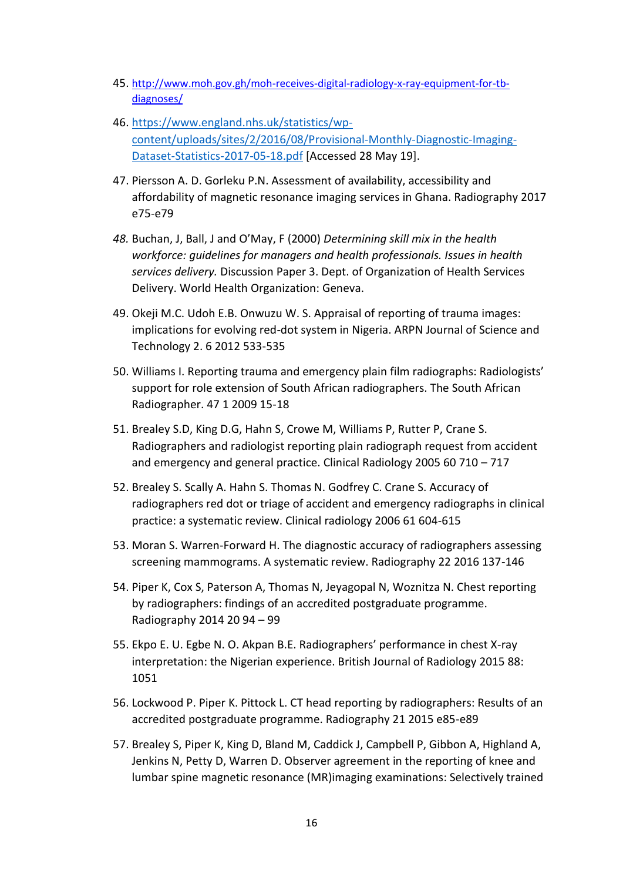- 45. [http://www.moh.gov.gh/moh-receives-digital-radiology-x-ray-equipment-for-tb](http://www.moh.gov.gh/moh-receives-digital-radiology-x-ray-equipment-for-tb-diagnoses/)[diagnoses/](http://www.moh.gov.gh/moh-receives-digital-radiology-x-ray-equipment-for-tb-diagnoses/)
- 46. [https://www.england.nhs.uk/statistics/wp](https://www.england.nhs.uk/statistics/wp-content/uploads/sites/2/2016/08/Provisional-Monthly-Diagnostic-Imaging-Dataset-Statistics-2017-05-18.pdf)[content/uploads/sites/2/2016/08/Provisional-Monthly-Diagnostic-Imaging-](https://www.england.nhs.uk/statistics/wp-content/uploads/sites/2/2016/08/Provisional-Monthly-Diagnostic-Imaging-Dataset-Statistics-2017-05-18.pdf)[Dataset-Statistics-2017-05-18.pdf](https://www.england.nhs.uk/statistics/wp-content/uploads/sites/2/2016/08/Provisional-Monthly-Diagnostic-Imaging-Dataset-Statistics-2017-05-18.pdf) [Accessed 28 May 19].
- 47. Piersson A. D. Gorleku P.N. Assessment of availability, accessibility and affordability of magnetic resonance imaging services in Ghana. Radiography 2017 e75-e79
- *48.* Buchan, J, Ball, J and O'May, F (2000) *Determining skill mix in the health workforce: guidelines for managers and health professionals. Issues in health services delivery.* Discussion Paper 3. Dept. of Organization of Health Services Delivery. World Health Organization: Geneva.
- 49. Okeji M.C. Udoh E.B. Onwuzu W. S. Appraisal of reporting of trauma images: implications for evolving red-dot system in Nigeria. ARPN Journal of Science and Technology 2. 6 2012 533-535
- 50. Williams I. Reporting trauma and emergency plain film radiographs: Radiologists' support for role extension of South African radiographers. The South African Radiographer. 47 1 2009 15-18
- 51. Brealey S.D, King D.G, Hahn S, Crowe M, Williams P, Rutter P, Crane S. Radiographers and radiologist reporting plain radiograph request from accident and emergency and general practice. Clinical Radiology 2005 60 710 – 717
- 52. Brealey S. Scally A. Hahn S. Thomas N. Godfrey C. Crane S. Accuracy of radiographers red dot or triage of accident and emergency radiographs in clinical practice: a systematic review. Clinical radiology 2006 61 604-615
- 53. Moran S. Warren-Forward H. The diagnostic accuracy of radiographers assessing screening mammograms. A systematic review. Radiography 22 2016 137-146
- 54. Piper K, Cox S, Paterson A, Thomas N, Jeyagopal N, Woznitza N. Chest reporting by radiographers: findings of an accredited postgraduate programme. Radiography 2014 20 94 – 99
- 55. Ekpo E. U. Egbe N. O. Akpan B.E. Radiographers' performance in chest X-ray interpretation: the Nigerian experience. British Journal of Radiology 2015 88: 1051
- 56. Lockwood P. Piper K. Pittock L. CT head reporting by radiographers: Results of an accredited postgraduate programme. Radiography 21 2015 e85-e89
- 57. Brealey S, Piper K, King D, Bland M, Caddick J, Campbell P, Gibbon A, Highland A, Jenkins N, Petty D, Warren D. Observer agreement in the reporting of knee and lumbar spine magnetic resonance (MR)imaging examinations: Selectively trained